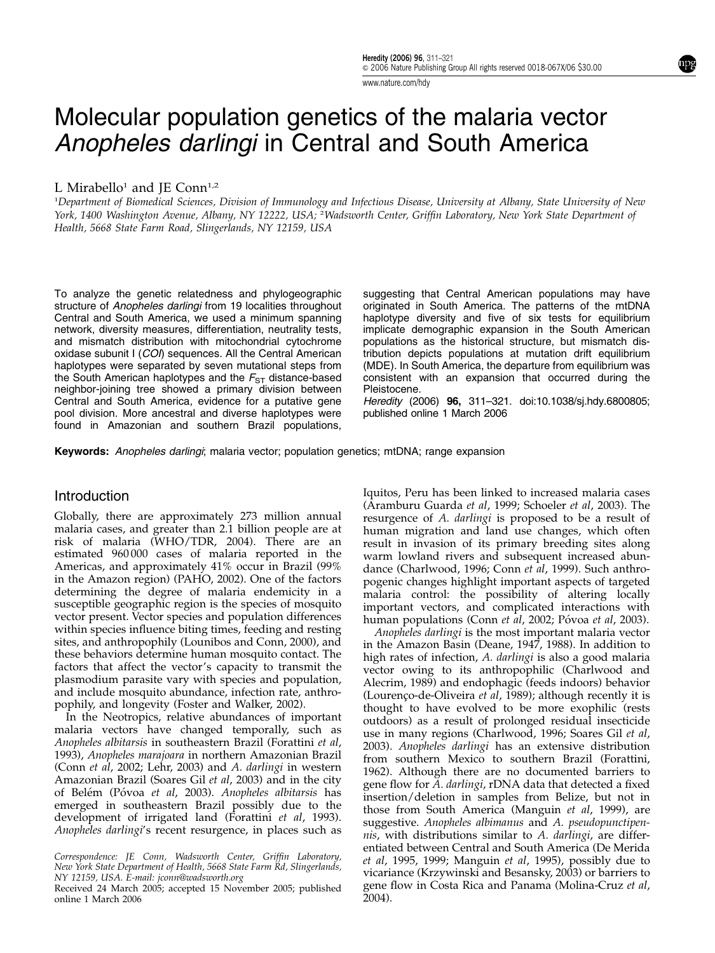www.nature.com/hdy

# Molecular population genetics of the malaria vector Anopheles darlingi in Central and South America

## L Mirabello<sup>1</sup> and JE Conn<sup>1,2</sup>

1 Department of Biomedical Sciences, Division of Immunology and Infectious Disease, University at Albany, State University of New York, 1400 Washington Avenue, Albany, NY 12222, USA; <sup>2</sup> Wadsworth Center, Griffin Laboratory, New York State Department of Health, 5668 State Farm Road, Slingerlands, NY 12159, USA

To analyze the genetic relatedness and phylogeographic structure of Anopheles darlingi from 19 localities throughout Central and South America, we used a minimum spanning network, diversity measures, differentiation, neutrality tests, and mismatch distribution with mitochondrial cytochrome oxidase subunit I (COI) sequences. All the Central American haplotypes were separated by seven mutational steps from the South American haplotypes and the  $F_{ST}$  distance-based neighbor-joining tree showed a primary division between Central and South America, evidence for a putative gene pool division. More ancestral and diverse haplotypes were found in Amazonian and southern Brazil populations,

suggesting that Central American populations may have originated in South America. The patterns of the mtDNA haplotype diversity and five of six tests for equilibrium implicate demographic expansion in the South American populations as the historical structure, but mismatch distribution depicts populations at mutation drift equilibrium (MDE). In South America, the departure from equilibrium was consistent with an expansion that occurred during the Pleistocene.

Heredity (2006) 96, 311–321. doi:10.1038/sj.hdy.6800805; published online 1 March 2006

Keywords: Anopheles darlingi; malaria vector; population genetics; mtDNA; range expansion

### **Introduction**

Globally, there are approximately 273 million annual malaria cases, and greater than 2.1 billion people are at risk of malaria (WHO/TDR, 2004). There are an estimated 960 000 cases of malaria reported in the Americas, and approximately 41% occur in Brazil (99% in the Amazon region) (PAHO, 2002). One of the factors determining the degree of malaria endemicity in a susceptible geographic region is the species of mosquito vector present. Vector species and population differences within species influence biting times, feeding and resting sites, and anthropophily (Lounibos and Conn, 2000), and these behaviors determine human mosquito contact. The factors that affect the vector's capacity to transmit the plasmodium parasite vary with species and population, and include mosquito abundance, infection rate, anthropophily, and longevity (Foster and Walker, 2002).

In the Neotropics, relative abundances of important malaria vectors have changed temporally, such as Anopheles albitarsis in southeastern Brazil (Forattini et al, 1993), Anopheles marajoara in northern Amazonian Brazil (Conn et al, 2002; Lehr, 2003) and A. darlingi in western Amazonian Brazil (Soares Gil et al, 2003) and in the city of Belém (Póvoa et al, 2003). Anopheles albitarsis has emerged in southeastern Brazil possibly due to the development of irrigated land (Forattini et al, 1993). Anopheles darlingi's recent resurgence, in places such as

Correspondence: JE Conn, Wadsworth Center, Griffin Laboratory, New York State Department of Health, 5668 State Farm Rd, Slingerlands, NY 12159, USA. E-mail: jconn@wadsworth.org

Received 24 March 2005; accepted 15 November 2005; published online 1 March 2006

Iquitos, Peru has been linked to increased malaria cases (Aramburu Guarda et al, 1999; Schoeler et al, 2003). The resurgence of A. darlingi is proposed to be a result of human migration and land use changes, which often result in invasion of its primary breeding sites along warm lowland rivers and subsequent increased abundance (Charlwood, 1996; Conn et al, 1999). Such anthropogenic changes highlight important aspects of targeted malaria control: the possibility of altering locally important vectors, and complicated interactions with human populations (Conn et al, 2002; Póvoa et al, 2003).

Anopheles darlingi is the most important malaria vector in the Amazon Basin (Deane, 1947, 1988). In addition to high rates of infection, A. darlingi is also a good malaria vector owing to its anthropophilic (Charlwood and Alecrim, 1989) and endophagic (feeds indoors) behavior (Lourenço-de-Oliveira et al, 1989); although recently it is thought to have evolved to be more exophilic (rests outdoors) as a result of prolonged residual insecticide use in many regions (Charlwood, 1996; Soares Gil et al, 2003). Anopheles darlingi has an extensive distribution from southern Mexico to southern Brazil (Forattini, 1962). Although there are no documented barriers to gene flow for A. darlingi, rDNA data that detected a fixed insertion/deletion in samples from Belize, but not in those from South America (Manguin et al, 1999), are suggestive. Anopheles albimanus and A. pseudopunctipennis, with distributions similar to A. darlingi, are differentiated between Central and South America (De Merida et al, 1995, 1999; Manguin et al, 1995), possibly due to vicariance (Krzywinski and Besansky, 2003) or barriers to gene flow in Costa Rica and Panama (Molina-Cruz et al,  $2004$ ).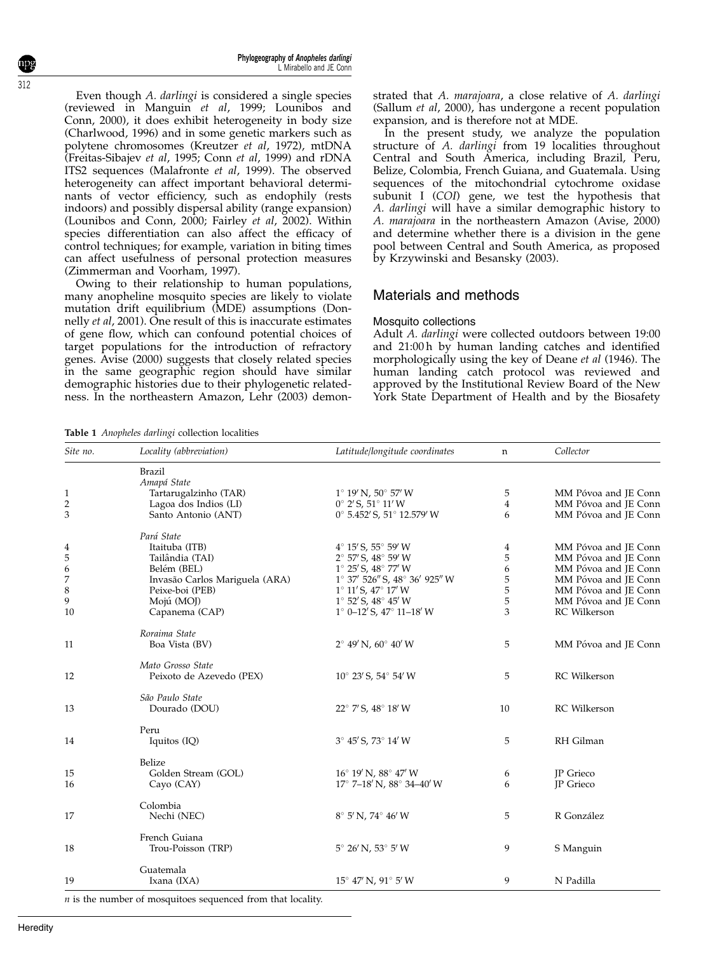Even though A. darlingi is considered a single species (reviewed in Manguin et al, 1999; Lounibos and Conn, 2000), it does exhibit heterogeneity in body size (Charlwood, 1996) and in some genetic markers such as polytene chromosomes (Kreutzer et al, 1972), mtDNA (Freitas-Sibajev et al, 1995; Conn et al, 1999) and rDNA ITS2 sequences (Malafronte et al, 1999). The observed heterogeneity can affect important behavioral determinants of vector efficiency, such as endophily (rests indoors) and possibly dispersal ability (range expansion) (Lounibos and Conn, 2000; Fairley et al, 2002). Within species differentiation can also affect the efficacy of control techniques; for example, variation in biting times can affect usefulness of personal protection measures (Zimmerman and Voorham, 1997).

Owing to their relationship to human populations, many anopheline mosquito species are likely to violate mutation drift equilibrium (MDE) assumptions (Donnelly et al, 2001). One result of this is inaccurate estimates of gene flow, which can confound potential choices of target populations for the introduction of refractory genes. Avise (2000) suggests that closely related species in the same geographic region should have similar demographic histories due to their phylogenetic relatedness. In the northeastern Amazon, Lehr (2003) demonstrated that A. marajoara, a close relative of A. darlingi (Sallum et al, 2000), has undergone a recent population expansion, and is therefore not at MDE.

In the present study, we analyze the population structure of A. darlingi from 19 localities throughout Central and South America, including Brazil, Peru, Belize, Colombia, French Guiana, and Guatemala. Using sequences of the mitochondrial cytochrome oxidase subunit I (COI) gene, we test the hypothesis that A. darlingi will have a similar demographic history to A. marajoara in the northeastern Amazon (Avise, 2000) and determine whether there is a division in the gene pool between Central and South America, as proposed by Krzywinski and Besansky (2003).

## Materials and methods

## Mosquito collections

Adult A. darlingi were collected outdoors between 19:00 and 21:00 h by human landing catches and identified morphologically using the key of Deane *et al* (1946). The human landing catch protocol was reviewed and approved by the Institutional Review Board of the New York State Department of Health and by the Biosafety

Table 1 Anopheles darlingi collection localities

| Site no.     | Locality (abbreviation)              | Latitude/longitude coordinates               | n              | Collector            |
|--------------|--------------------------------------|----------------------------------------------|----------------|----------------------|
|              | <b>Brazil</b>                        |                                              |                |                      |
| $\mathbf{1}$ | Amapá State<br>Tartarugalzinho (TAR) | $1^{\circ}$ 19' N, 50 $^{\circ}$ 57' W       | 5              | MM Póvoa and JE Conn |
| $\sqrt{2}$   | Lagoa dos Indios (LI)                | $0^{\circ}$ 2' S, 51 $^{\circ}$ 11' W        | $\overline{4}$ | MM Póvoa and JE Conn |
| 3            | Santo Antonio (ANT)                  | 0° 5.452' S, 51° 12.579' W                   | 6              | MM Póvoa and JE Conn |
|              | Pará State                           |                                              |                |                      |
| 4            | Itaituba (ITB)                       | 4° 15' S, 55° 59' W                          | 4              | MM Póvoa and JE Conn |
| 5            | Tailândia (TAI)                      | 2° 57' S, 48° 59' W                          | 5              | MM Póvoa and JE Conn |
| 6            | Belém (BEL)                          | $1^{\circ}$ 25' S, $48^{\circ}$ 77' W        | 6              | MM Póvoa and JE Conn |
| 7            | Invasão Carlos Mariguela (ARA)       | 1° 37′ 526″ S, 48° 36′ 925″ W                | 5              | MM Póvoa and JE Conn |
| 8            | Peixe-boi (PEB)                      | $1^{\circ}$ 11' S, $47^{\circ}$ 17' W        | 5              | MM Póvoa and JE Conn |
| 9            | Mojú (MOJ)                           | $1^{\circ}$ 52' S, $48^{\circ}$ 45' W        | 5              | MM Póvoa and JE Conn |
| 10           | Capanema (CAP)                       | $1^{\circ}$ 0–12' S, $47^{\circ}$ 11–18' W   | 3              | RC Wilkerson         |
|              | Roraima State                        |                                              |                |                      |
| 11           | Boa Vista (BV)                       | $2^{\circ}$ 49' N, 60 $^{\circ}$ 40' W       | 5              | MM Póvoa and JE Conn |
|              | Mato Grosso State                    |                                              |                |                      |
| 12           | Peixoto de Azevedo (PEX)             | $10^{\circ}$ 23' S, 54 $^{\circ}$ 54' W      | 5              | <b>RC</b> Wilkerson  |
|              | São Paulo State                      |                                              |                |                      |
| 13           | Dourado (DOU)                        | 22° 7' S, 48° 18' W                          | 10             | <b>RC</b> Wilkerson  |
|              | Peru                                 |                                              |                |                      |
| 14           | Iquitos (IQ)                         | $3^{\circ}$ 45' S, 73 $^{\circ}$ 14' W       | 5              | RH Gilman            |
|              | Belize                               |                                              |                |                      |
| 15           | Golden Stream (GOL)                  | 16° 19' N, 88° 47' W                         | 6              | JP Grieco            |
| 16           | Cayo (CAY)                           | $17^{\circ}$ 7–18' N, 88 $^{\circ}$ 34–40' W | 6              | JP Grieco            |
|              | Colombia                             |                                              |                |                      |
| 17           | Nechi (NEC)                          | $8^{\circ}$ 5' N, 74 $^{\circ}$ 46' W        | 5              | R González           |
|              | French Guiana                        |                                              |                |                      |
| 18           | Trou-Poisson (TRP)                   | $5^{\circ}$ 26' N, 53 $^{\circ}$ 5' W        | 9              | S Manguin            |
|              | Guatemala                            |                                              |                |                      |
| 19           | Ixana (IXA)                          | $15^{\circ}$ 47' N, 91 $^{\circ}$ 5' W       | 9              | N Padilla            |

312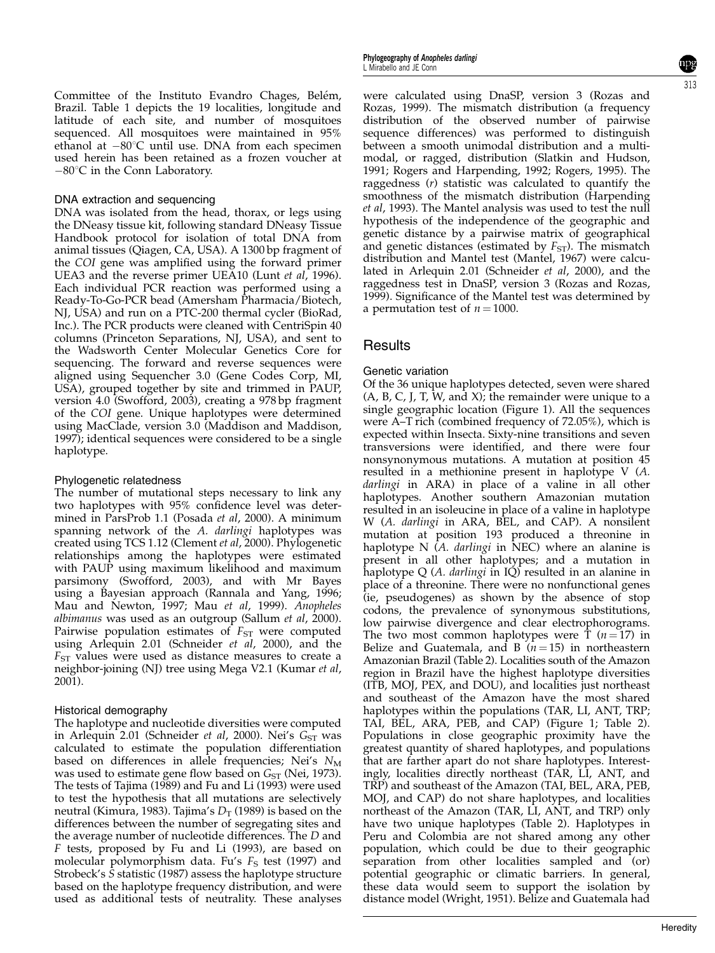Committee of the Instituto Evandro Chages, Belém, Brazil. Table 1 depicts the 19 localities, longitude and latitude of each site, and number of mosquitoes sequenced. All mosquitoes were maintained in 95% ethanol at  $-80^{\circ}$ C until use. DNA from each specimen used herein has been retained as a frozen voucher at  $-80^{\circ}$ C in the Conn Laboratory.

#### DNA extraction and sequencing

DNA was isolated from the head, thorax, or legs using the DNeasy tissue kit, following standard DNeasy Tissue Handbook protocol for isolation of total DNA from animal tissues (Qiagen, CA, USA). A 1300 bp fragment of the COI gene was amplified using the forward primer UEA3 and the reverse primer UEA10 (Lunt et al, 1996). Each individual PCR reaction was performed using a Ready-To-Go-PCR bead (Amersham Pharmacia/Biotech, NJ, USA) and run on a PTC-200 thermal cycler (BioRad, Inc.). The PCR products were cleaned with CentriSpin 40 columns (Princeton Separations, NJ, USA), and sent to the Wadsworth Center Molecular Genetics Core for sequencing. The forward and reverse sequences were aligned using Sequencher 3.0 (Gene Codes Corp, MI, USA), grouped together by site and trimmed in PAUP, version 4.0 (Swofford, 2003), creating a 978 bp fragment of the COI gene. Unique haplotypes were determined using MacClade, version 3.0 (Maddison and Maddison, 1997); identical sequences were considered to be a single haplotype.

#### Phylogenetic relatedness

The number of mutational steps necessary to link any two haplotypes with 95% confidence level was determined in ParsProb 1.1 (Posada et al, 2000). A minimum spanning network of the A. darlingi haplotypes was created using TCS 1.12 (Clement et al, 2000). Phylogenetic relationships among the haplotypes were estimated with PAUP using maximum likelihood and maximum parsimony (Swofford, 2003), and with Mr Bayes using a Bayesian approach (Rannala and Yang, 1996; Mau and Newton, 1997; Mau et al, 1999). Anopheles albimanus was used as an outgroup (Sallum et al, 2000). Pairwise population estimates of  $F_{ST}$  were computed using Arlequin 2.01 (Schneider et al, 2000), and the  $F<sub>ST</sub>$  values were used as distance measures to create a neighbor-joining (NJ) tree using Mega V2.1 (Kumar et al,  $2001$ ).

#### Historical demography

The haplotype and nucleotide diversities were computed in Arlequin 2.01 (Schneider *et al*, 2000). Nei's  $G_{ST}$  was calculated to estimate the population differentiation based on differences in allele frequencies; Nei's  $N_M$ was used to estimate gene flow based on  $G_{ST}$  (Nei, 1973). The tests of Tajima (1989) and Fu and Li (1993) were used to test the hypothesis that all mutations are selectively neutral (Kimura, 1983). Tajima's  $D_T$  (1989) is based on the differences between the number of segregating sites and the average number of nucleotide differences. The D and F tests, proposed by Fu and Li (1993), are based on molecular polymorphism data. Fu's  $F<sub>S</sub>$  test (1997) and Strobeck's  $\overline{S}$  statistic (1987) assess the haplotype structure based on the haplotype frequency distribution, and were used as additional tests of neutrality. These analyses

were calculated using DnaSP, version 3 (Rozas and Rozas, 1999). The mismatch distribution (a frequency distribution of the observed number of pairwise sequence differences) was performed to distinguish between a smooth unimodal distribution and a multimodal, or ragged, distribution (Slatkin and Hudson, 1991; Rogers and Harpending, 1992; Rogers, 1995). The raggedness (r) statistic was calculated to quantify the smoothness of the mismatch distribution (Harpending et al, 1993). The Mantel analysis was used to test the null hypothesis of the independence of the geographic and genetic distance by a pairwise matrix of geographical and genetic distances (estimated by  $F_{ST}$ ). The mismatch distribution and Mantel test (Mantel, 1967) were calculated in Arlequin 2.01 (Schneider et al, 2000), and the raggedness test in DnaSP, version 3 (Rozas and Rozas, 1999). Significance of the Mantel test was determined by a permutation test of  $n = 1000$ .

## Results

#### Genetic variation

Of the 36 unique haplotypes detected, seven were shared  $(A, B, C, J, T, W, \text{and } X)$ ; the remainder were unique to a single geographic location (Figure 1). All the sequences were A–T rich (combined frequency of 72.05%), which is expected within Insecta. Sixty-nine transitions and seven transversions were identified, and there were four nonsynonymous mutations. A mutation at position 45 resulted in a methionine present in haplotype V (A. darlingi in ARA) in place of a valine in all other haplotypes. Another southern Amazonian mutation resulted in an isoleucine in place of a valine in haplotype W (A. darlingi in ARA, BEL, and CAP). A nonsilent mutation at position 193 produced a threonine in haplotype N  $\tilde{A}$ . *darlingi* in NEC) where an alanine is present in all other haplotypes; and a mutation in haplotype Q  $(A.$  darlingi in  $IQ$ ) resulted in an alanine in place of a threonine. There were no nonfunctional genes (ie, pseudogenes) as shown by the absence of stop codons, the prevalence of synonymous substitutions, low pairwise divergence and clear electrophorograms. The two most common haplotypes were T  $(n = 17)$  in Belize and Guatemala, and B  $(n = 15)$  in northeastern Amazonian Brazil (Table 2). Localities south of the Amazon region in Brazil have the highest haplotype diversities (ITB, MOJ, PEX, and DOU), and localities just northeast and southeast of the Amazon have the most shared haplotypes within the populations (TAR, LI, ANT, TRP; TAI, BEL, ARA, PEB, and CAP) (Figure 1; Table 2). Populations in close geographic proximity have the greatest quantity of shared haplotypes, and populations that are farther apart do not share haplotypes. Interestingly, localities directly northeast (TAR, LI, ANT, and TRP) and southeast of the Amazon (TAI, BEL, ARA, PEB, MOJ, and CAP) do not share haplotypes, and localities northeast of the Amazon (TAR, LI, ANT, and TRP) only have two unique haplotypes (Table 2). Haplotypes in Peru and Colombia are not shared among any other population, which could be due to their geographic separation from other localities sampled and (or) potential geographic or climatic barriers. In general, these data would seem to support the isolation by distance model (Wright, 1951). Belize and Guatemala had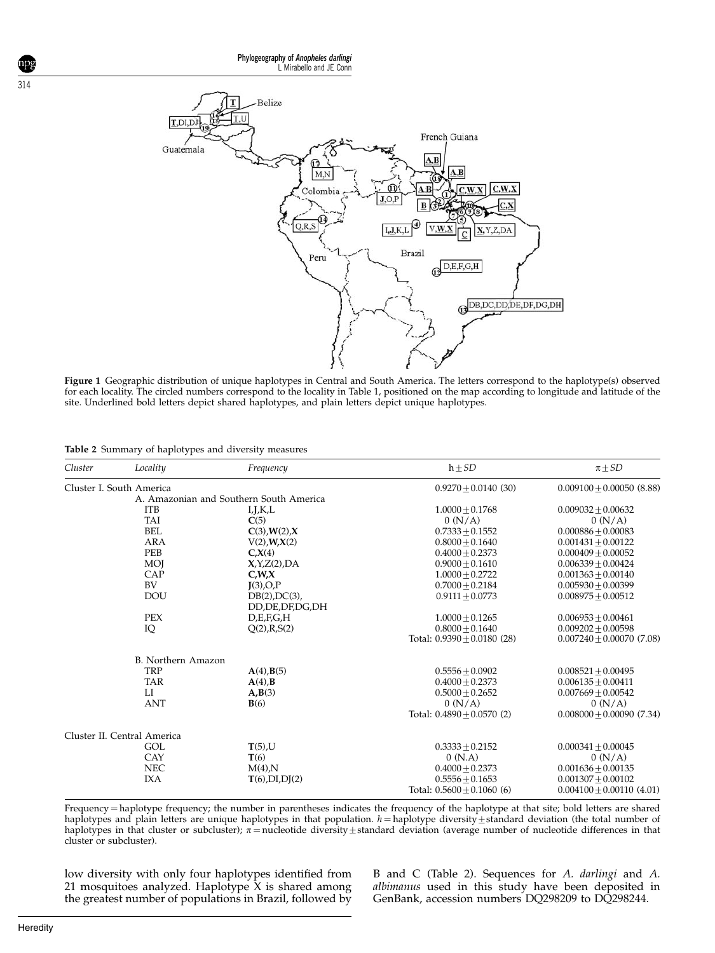

Figure 1 Geographic distribution of unique haplotypes in Central and South America. The letters correspond to the haplotype(s) observed for each locality. The circled numbers correspond to the locality in Table 1, positioned on the map according to longitude and latitude of the site. Underlined bold letters depict shared haplotypes, and plain letters depict unique haplotypes.

|  |  |  | Table 2 Summary of haplotypes and diversity measures |  |
|--|--|--|------------------------------------------------------|--|
|--|--|--|------------------------------------------------------|--|

| Cluster | Locality                    | Frequency                               | $h \pm SD$                    | $\pi$ +SD                   |
|---------|-----------------------------|-----------------------------------------|-------------------------------|-----------------------------|
|         | Cluster I. South America    |                                         | $0.9270 + 0.0140(30)$         | $0.009100 + 0.00050$ (8.88) |
|         |                             | A. Amazonian and Southern South America |                               |                             |
|         | <b>ITB</b>                  | I, J, K, L                              | $1.0000 + 0.1768$             | $0.009032 + 0.00632$        |
|         | <b>TAI</b>                  | C(5)                                    | 0 (N/A)                       | 0 (N/A)                     |
|         | <b>BEL</b>                  | C(3), W(2), X                           | $0.7333 + 0.1552$             | $0.000886 + 0.00083$        |
|         | <b>ARA</b>                  | $V(2)$ , $W$ , $X(2)$                   | $0.8000 + 0.1640$             | $0.001431 + 0.00122$        |
|         | PEB                         | $C_\text{A}(4)$                         | $0.4000 + 0.2373$             | $0.000409 + 0.00052$        |
|         | <b>MOJ</b>                  | X, Y, Z(2), DA                          | $0.9000 + 0.1610$             | $0.006339 + 0.00424$        |
|         | CAP                         | C, W, X                                 | $1.0000 + 0.2722$             | $0.001363 + 0.00140$        |
|         | BV                          | J(3),O,P                                | $0.7000 + 0.2184$             | $0.005930 + 0.00399$        |
|         | <b>DOU</b>                  | $DB(2)$ , $DC(3)$ ,                     | $0.9111 + 0.0773$             | $0.008975 \pm 0.00512$      |
|         |                             | DD, DE, DF, DG, DH                      |                               |                             |
|         | <b>PEX</b>                  | D.E.F.G.H                               | $1.0000 + 0.1265$             | $0.006953 + 0.00461$        |
|         | IQ                          | Q(2), R, S(2)                           | $0.8000 + 0.1640$             | $0.009202 + 0.00598$        |
|         |                             |                                         | Total: $0.9390 + 0.0180$ (28) | $0.007240 + 0.00070$ (7.08) |
|         | B. Northern Amazon          |                                         |                               |                             |
|         | <b>TRP</b>                  | $A(4)$ , $B(5)$                         | $0.5556 + 0.0902$             | $0.008521 + 0.00495$        |
|         | <b>TAR</b>                  | $A(4)$ , $B$                            | $0.4000 + 0.2373$             | $0.006135 + 0.00411$        |
|         | LI                          | A,B(3)                                  | $0.5000 + 0.2652$             | $0.007669 + 0.00542$        |
|         | <b>ANT</b>                  | B(6)                                    | 0(N/A)                        | 0 (N/A)                     |
|         |                             |                                         | Total: $0.4890 + 0.0570$ (2)  | $0.008000 + 0.00090(7.34)$  |
|         | Cluster II. Central America |                                         |                               |                             |
|         | GOL                         | $T(5)$ ,U                               | $0.3333 + 0.2152$             | $0.000341 + 0.00045$        |
|         | CAY                         | T(6)                                    | 0(N.A)                        | 0 (N/A)                     |
|         | <b>NEC</b>                  | $M(4)$ , N                              | $0.4000 + 0.2373$             | $0.001636 + 0.00135$        |
|         | <b>IXA</b>                  | $T(6)$ , DI, DJ $(2)$                   | $0.5556 \pm 0.1653$           | $0.001307 + 0.00102$        |
|         |                             |                                         | Total: $0.5600 + 0.1060$ (6)  | $0.004100 + 0.00110$ (4.01) |
|         |                             |                                         |                               |                             |

Frequency = haplotype frequency; the number in parentheses indicates the frequency of the haplotype at that site; bold letters are shared haplotypes and plain letters are unique haplotypes in that population.  $h =$ haplotype diversity $\pm$ standard deviation (the total number of haplotypes in that cluster or subcluster);  $\pi$  = nucleotide diversity  $\pm$  standard deviation (average number of nucleotide differences in that cluster or subcluster).

low diversity with only four haplotypes identified from 21 mosquitoes analyzed. Haplotype X is shared among the greatest number of populations in Brazil, followed by

B and C (Table 2). Sequences for A. darlingi and A. albimanus used in this study have been deposited in GenBank, accession numbers DQ298209 to DQ298244.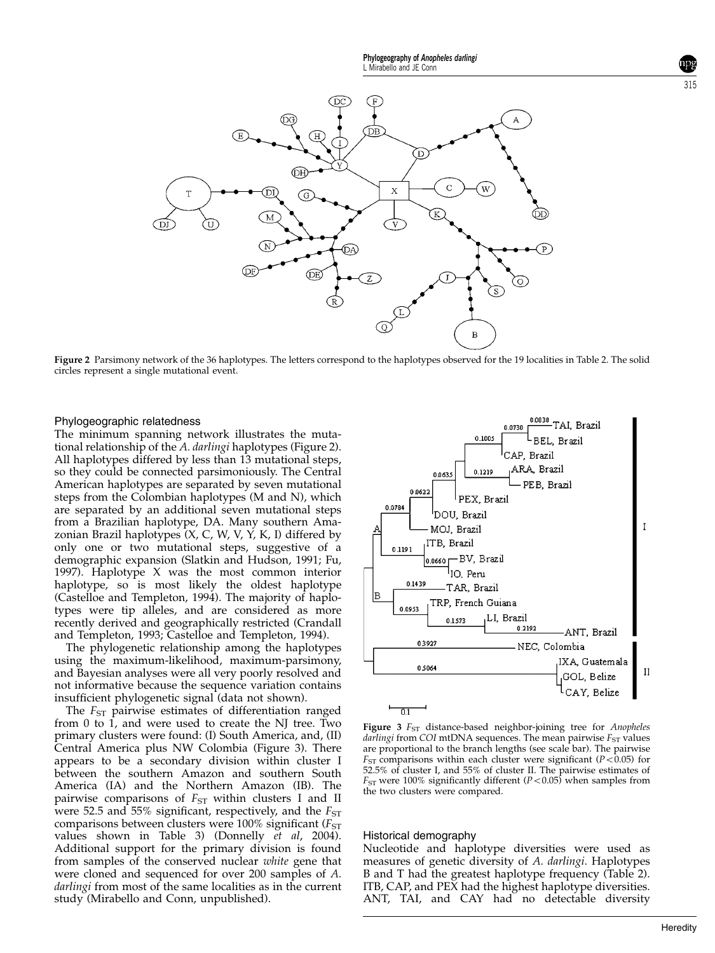

Figure 2 Parsimony network of the 36 haplotypes. The letters correspond to the haplotypes observed for the 19 localities in Table 2. The solid circles represent a single mutational event.

#### Phylogeographic relatedness

The minimum spanning network illustrates the mutational relationship of the A. darlingi haplotypes (Figure 2). All haplotypes differed by less than 13 mutational steps, so they could be connected parsimoniously. The Central American haplotypes are separated by seven mutational steps from the Colombian haplotypes (M and N), which are separated by an additional seven mutational steps from a Brazilian haplotype, DA. Many southern Amazonian Brazil haplotypes (X, C, W, V, Y, K, I) differed by only one or two mutational steps, suggestive of a demographic expansion (Slatkin and Hudson, 1991; Fu, 1997). Haplotype X was the most common interior haplotype, so is most likely the oldest haplotype (Castelloe and Templeton, 1994). The majority of haplotypes were tip alleles, and are considered as more recently derived and geographically restricted (Crandall and Templeton, 1993; Castelloe and Templeton, 1994).

The phylogenetic relationship among the haplotypes using the maximum-likelihood, maximum-parsimony, and Bayesian analyses were all very poorly resolved and not informative because the sequence variation contains insufficient phylogenetic signal (data not shown).

The  $F_{ST}$  pairwise estimates of differentiation ranged from 0 to 1, and were used to create the NJ tree. Two primary clusters were found: (I) South America, and, (II) Central America plus NW Colombia (Figure 3). There appears to be a secondary division within cluster I between the southern Amazon and southern South America (IA) and the Northern Amazon (IB). The pairwise comparisons of  $F_{ST}$  within clusters I and II were 52.5 and 55% significant, respectively, and the  $F_{ST}$ comparisons between clusters were 100% significant ( $F_{ST}$ values shown in Table 3) (Donnelly et al, 2004). Additional support for the primary division is found from samples of the conserved nuclear white gene that were cloned and sequenced for over 200 samples of A. darlingi from most of the same localities as in the current study (Mirabello and Conn, unpublished).



Figure 3  $F<sub>ST</sub>$  distance-based neighbor-joining tree for Anopheles darlingi from COI mtDNA sequences. The mean pairwise  $F_{ST}$  values are proportional to the branch lengths (see scale bar). The pairwise  $F<sub>ST</sub>$  comparisons within each cluster were significant ( $P<0.05$ ) for 52.5% of cluster I, and 55% of cluster II. The pairwise estimates of  $F<sub>ST</sub>$  were 100% significantly different (P < 0.05) when samples from the two clusters were compared.

### Historical demography

Nucleotide and haplotype diversities were used as measures of genetic diversity of A. darlingi. Haplotypes B and T had the greatest haplotype frequency (Table 2). ITB, CAP, and PEX had the highest haplotype diversities. ANT, TAI, and CAY had no detectable diversity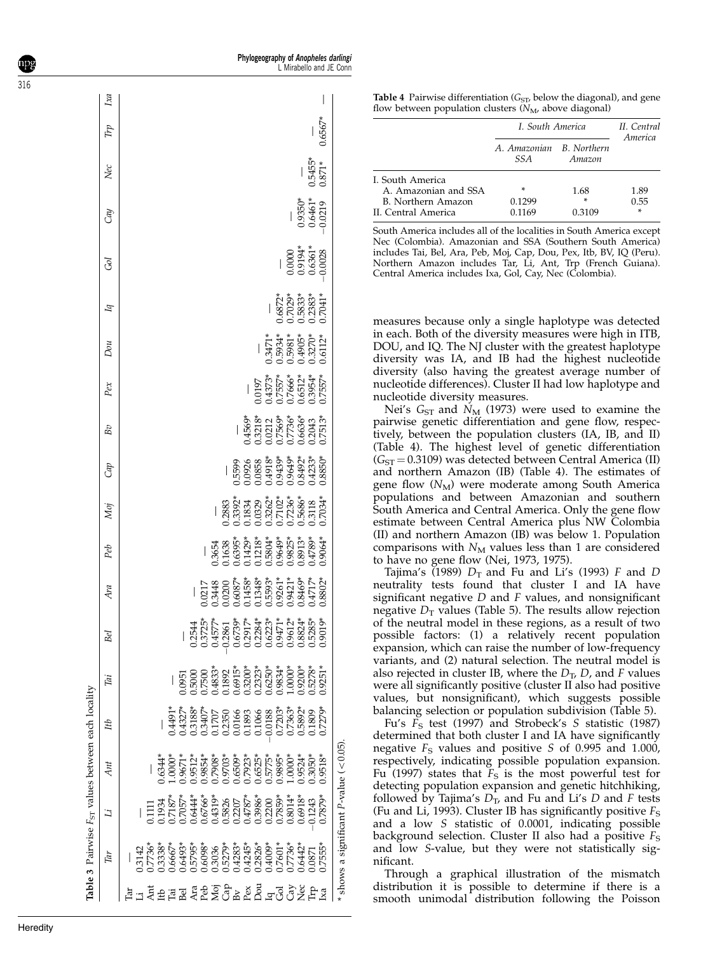|                   |     | Table 3 Pairwise F <sub>ST</sub> values between each locality |                                                                                                                                                                                                                                                                                                                                                                                                                                    |                                                                                                                                                                                                                                      |    |     |                                                                                                                                                                      |                                                                                                      |                                                                                                                                                                                                                                                                                                                                                  |     |                                                                                                                                                                                                                                                                                     |                                                    |                                                                                                                                                                                                                                                                                                                                  |                                          |                                                                                 |                                           |                      |           |     |
|-------------------|-----|---------------------------------------------------------------|------------------------------------------------------------------------------------------------------------------------------------------------------------------------------------------------------------------------------------------------------------------------------------------------------------------------------------------------------------------------------------------------------------------------------------|--------------------------------------------------------------------------------------------------------------------------------------------------------------------------------------------------------------------------------------|----|-----|----------------------------------------------------------------------------------------------------------------------------------------------------------------------|------------------------------------------------------------------------------------------------------|--------------------------------------------------------------------------------------------------------------------------------------------------------------------------------------------------------------------------------------------------------------------------------------------------------------------------------------------------|-----|-------------------------------------------------------------------------------------------------------------------------------------------------------------------------------------------------------------------------------------------------------------------------------------|----------------------------------------------------|----------------------------------------------------------------------------------------------------------------------------------------------------------------------------------------------------------------------------------------------------------------------------------------------------------------------------------|------------------------------------------|---------------------------------------------------------------------------------|-------------------------------------------|----------------------|-----------|-----|
|                   | Tar | $\ddot{a}$                                                    | Ant                                                                                                                                                                                                                                                                                                                                                                                                                                | ИŊ                                                                                                                                                                                                                                   | Γā | Bel | Ara                                                                                                                                                                  | Peb                                                                                                  | Мoj                                                                                                                                                                                                                                                                                                                                              | Cap | Bv                                                                                                                                                                                                                                                                                  | Pex                                                | Dou                                                                                                                                                                                                                                                                                                                              | $\overline{q}$                           | હ્ય                                                                             | Сm                                        | Nec                  | Trp       | Ιxα |
|                   |     |                                                               |                                                                                                                                                                                                                                                                                                                                                                                                                                    |                                                                                                                                                                                                                                      |    |     |                                                                                                                                                                      |                                                                                                      |                                                                                                                                                                                                                                                                                                                                                  |     |                                                                                                                                                                                                                                                                                     |                                                    |                                                                                                                                                                                                                                                                                                                                  |                                          |                                                                                 |                                           |                      |           |     |
|                   |     |                                                               |                                                                                                                                                                                                                                                                                                                                                                                                                                    |                                                                                                                                                                                                                                      |    |     |                                                                                                                                                                      |                                                                                                      |                                                                                                                                                                                                                                                                                                                                                  |     |                                                                                                                                                                                                                                                                                     |                                                    |                                                                                                                                                                                                                                                                                                                                  |                                          |                                                                                 |                                           |                      |           |     |
|                   |     |                                                               |                                                                                                                                                                                                                                                                                                                                                                                                                                    |                                                                                                                                                                                                                                      |    |     |                                                                                                                                                                      |                                                                                                      |                                                                                                                                                                                                                                                                                                                                                  |     |                                                                                                                                                                                                                                                                                     |                                                    |                                                                                                                                                                                                                                                                                                                                  |                                          |                                                                                 |                                           |                      |           |     |
|                   |     |                                                               |                                                                                                                                                                                                                                                                                                                                                                                                                                    |                                                                                                                                                                                                                                      |    |     |                                                                                                                                                                      |                                                                                                      |                                                                                                                                                                                                                                                                                                                                                  |     |                                                                                                                                                                                                                                                                                     |                                                    |                                                                                                                                                                                                                                                                                                                                  |                                          |                                                                                 |                                           |                      |           |     |
| Γā                |     |                                                               |                                                                                                                                                                                                                                                                                                                                                                                                                                    |                                                                                                                                                                                                                                      |    |     |                                                                                                                                                                      |                                                                                                      |                                                                                                                                                                                                                                                                                                                                                  |     |                                                                                                                                                                                                                                                                                     |                                                    |                                                                                                                                                                                                                                                                                                                                  |                                          |                                                                                 |                                           |                      |           |     |
| Bel               |     |                                                               |                                                                                                                                                                                                                                                                                                                                                                                                                                    |                                                                                                                                                                                                                                      |    |     |                                                                                                                                                                      |                                                                                                      |                                                                                                                                                                                                                                                                                                                                                  |     |                                                                                                                                                                                                                                                                                     |                                                    |                                                                                                                                                                                                                                                                                                                                  |                                          |                                                                                 |                                           |                      |           |     |
|                   |     |                                                               |                                                                                                                                                                                                                                                                                                                                                                                                                                    |                                                                                                                                                                                                                                      |    |     |                                                                                                                                                                      |                                                                                                      |                                                                                                                                                                                                                                                                                                                                                  |     |                                                                                                                                                                                                                                                                                     |                                                    |                                                                                                                                                                                                                                                                                                                                  |                                          |                                                                                 |                                           |                      |           |     |
|                   |     |                                                               |                                                                                                                                                                                                                                                                                                                                                                                                                                    |                                                                                                                                                                                                                                      |    |     |                                                                                                                                                                      |                                                                                                      |                                                                                                                                                                                                                                                                                                                                                  |     |                                                                                                                                                                                                                                                                                     |                                                    |                                                                                                                                                                                                                                                                                                                                  |                                          |                                                                                 |                                           |                      |           |     |
|                   |     |                                                               |                                                                                                                                                                                                                                                                                                                                                                                                                                    |                                                                                                                                                                                                                                      |    |     |                                                                                                                                                                      |                                                                                                      |                                                                                                                                                                                                                                                                                                                                                  |     |                                                                                                                                                                                                                                                                                     |                                                    |                                                                                                                                                                                                                                                                                                                                  |                                          |                                                                                 |                                           |                      |           |     |
|                   |     |                                                               |                                                                                                                                                                                                                                                                                                                                                                                                                                    |                                                                                                                                                                                                                                      |    |     |                                                                                                                                                                      |                                                                                                      |                                                                                                                                                                                                                                                                                                                                                  |     |                                                                                                                                                                                                                                                                                     |                                                    |                                                                                                                                                                                                                                                                                                                                  |                                          |                                                                                 |                                           |                      |           |     |
|                   |     |                                                               |                                                                                                                                                                                                                                                                                                                                                                                                                                    |                                                                                                                                                                                                                                      |    |     |                                                                                                                                                                      |                                                                                                      |                                                                                                                                                                                                                                                                                                                                                  |     |                                                                                                                                                                                                                                                                                     |                                                    |                                                                                                                                                                                                                                                                                                                                  |                                          |                                                                                 |                                           |                      |           |     |
|                   |     |                                                               |                                                                                                                                                                                                                                                                                                                                                                                                                                    |                                                                                                                                                                                                                                      |    |     |                                                                                                                                                                      |                                                                                                      |                                                                                                                                                                                                                                                                                                                                                  |     |                                                                                                                                                                                                                                                                                     |                                                    |                                                                                                                                                                                                                                                                                                                                  |                                          |                                                                                 |                                           |                      |           |     |
| February 1994 Fra |     |                                                               | $1\overline{3}$<br>$1\overline{3}$<br>$1\overline{3}$<br>$1\overline{3}$<br>$1\overline{3}$<br>$1\overline{3}$<br>$1\overline{3}$<br>$1\overline{3}$<br>$1\overline{3}$<br>$1\overline{3}$<br>$1\overline{3}$<br>$1\overline{3}$<br>$1\overline{3}$<br>$1\overline{3}$<br>$1\overline{3}$<br>$1\overline{3}$<br>$1\overline{3}$<br>$1\overline{3}$<br>$1\overline{3}$<br>$1\overline{3}$<br>$1\overline{3}$<br>$1\overline{3}$<br> |                                                                                                                                                                                                                                      |    |     | $\begin{array}{l} 0.0217 \\ 0.3448 \\ 0.0200 \\ 0.0000 \\ 0.1453 \\ 0.1348 \\ 0.1348 \\ 0.0303 \\ 0.0303 \\ 0.03463 \\ 0.03467 \\ 0.03469 \\ 0.03471 \\ \end{array}$ | 0.3654<br>0.16385*<br>0.6395*52950.0.3855<br>0.1429*53*53*53*5550.0.389551<br>0.9064*535353535354*58 | $\begin{array}{r} 1.883 \\ -0.883 \\ -0.3992^{\ast} \\ -0.1824 \\ -0.0329 \\ -0.0328 \\ -0.0328 \\ -0.0334^{\ast} \\ -0.0334^{\ast} \\ -0.034^{\ast} \\ -0.034^{\ast} \\ -0.034^{\ast} \\ -0.034^{\ast} \\ -0.034^{\ast} \\ -0.034^{\ast} \\ -0.034^{\ast} \\ -0.034^{\ast} \\ -0.034^{\ast} \\ -0.034^{\ast} \\ -0.034^{\ast} \\ -0.034^{\ast}$ |     | $\begin{array}{l} 1.456\%\\ -456\%\\ -1.3712\\ -1.756\%\\ -1.756\%\\ -1.756\%\\ -1.7513\%\\ -1.7513\%\\ -1.7513\%\\ -1.7513\%\\ -1.7513\%\\ -1.7513\%\\ -1.7513\%\\ -1.7513\%\\ -1.7513\%\\ -1.7513\%\\ -1.7513\%\\ -1.7513\%\\ -1.7513\%\\ -1.7513\%\\ -1.7513\%\\ -1.7513\%\\ -1$ | 0.0197<br>0.4373*<br>0.7557*<br>0.7552*<br>0.9554* |                                                                                                                                                                                                                                                                                                                                  |                                          |                                                                                 |                                           |                      |           |     |
|                   |     |                                                               |                                                                                                                                                                                                                                                                                                                                                                                                                                    |                                                                                                                                                                                                                                      |    |     |                                                                                                                                                                      |                                                                                                      |                                                                                                                                                                                                                                                                                                                                                  |     |                                                                                                                                                                                                                                                                                     |                                                    |                                                                                                                                                                                                                                                                                                                                  |                                          |                                                                                 |                                           |                      |           |     |
|                   |     |                                                               |                                                                                                                                                                                                                                                                                                                                                                                                                                    |                                                                                                                                                                                                                                      |    |     |                                                                                                                                                                      |                                                                                                      |                                                                                                                                                                                                                                                                                                                                                  |     |                                                                                                                                                                                                                                                                                     |                                                    |                                                                                                                                                                                                                                                                                                                                  |                                          |                                                                                 |                                           |                      |           |     |
|                   |     |                                                               |                                                                                                                                                                                                                                                                                                                                                                                                                                    |                                                                                                                                                                                                                                      |    |     |                                                                                                                                                                      |                                                                                                      |                                                                                                                                                                                                                                                                                                                                                  |     |                                                                                                                                                                                                                                                                                     |                                                    | $\begin{array}{l} -\\ -\\ 0.3471^{*}\\ -\\ 0.5934^{*}\\ -\\ 0.5981^{*}\\ -\\ 0.0000^{*}\\ -\\ 0.0112^{*}\\ -\\ 0.0112^{*}\\ -\\ 0.0112^{*}\\ -\\ 0.0112^{*}\\ -\\ 0.0112^{*}\\ -\\ 0.0112^{*}\\ -\\ 0.0112^{*}\\ -\\ 0.0112^{*}\\ -\\ 0.0112^{*}\\ -\\ 0.0112^{*}\\ -\\ 0.0112^{*}\\ -\\ 0.0112^{*}\\ -\\ 0.0112^{*}\\ -\\ 0.01$ | -16872*<br>0.7029*<br>0.5833*<br>0.7041* | $\begin{array}{r} -0.0000 \\ 0.9194 \\ 0.6361 \\ -0.6363 \\ \hline \end{array}$ |                                           |                      |           |     |
|                   |     |                                                               |                                                                                                                                                                                                                                                                                                                                                                                                                                    |                                                                                                                                                                                                                                      |    |     |                                                                                                                                                                      |                                                                                                      |                                                                                                                                                                                                                                                                                                                                                  |     |                                                                                                                                                                                                                                                                                     |                                                    |                                                                                                                                                                                                                                                                                                                                  |                                          |                                                                                 |                                           |                      |           |     |
|                   |     |                                                               |                                                                                                                                                                                                                                                                                                                                                                                                                                    |                                                                                                                                                                                                                                      |    |     |                                                                                                                                                                      |                                                                                                      |                                                                                                                                                                                                                                                                                                                                                  |     |                                                                                                                                                                                                                                                                                     |                                                    |                                                                                                                                                                                                                                                                                                                                  |                                          |                                                                                 | $\frac{-}{0.9350*}$<br>0.9350*<br>0.6461* | $\frac{-}{0.5455^*}$ |           |     |
|                   |     |                                                               |                                                                                                                                                                                                                                                                                                                                                                                                                                    | 14375 - 14375 - 14375 - 14375 - 14375 - 14375 - 14375 - 14375 - 14375 - 14375 - 1438 - 1438 - 1438 - 1438 - 14<br>14375 - 14375 - 1438 - 1438 - 1438 - 1438 - 1438 - 1438 - 1438 - 1438 - 1438 - 1438 - 1438 - 1438 - 1438 - 14<br>1 |    |     | 1.8802*                                                                                                                                                              |                                                                                                      |                                                                                                                                                                                                                                                                                                                                                  |     |                                                                                                                                                                                                                                                                                     |                                                    |                                                                                                                                                                                                                                                                                                                                  |                                          |                                                                                 |                                           |                      | $0.6567*$ |     |
|                   |     | shows a significant P-value $(< 0.05)$                        |                                                                                                                                                                                                                                                                                                                                                                                                                                    |                                                                                                                                                                                                                                      |    |     |                                                                                                                                                                      |                                                                                                      |                                                                                                                                                                                                                                                                                                                                                  |     |                                                                                                                                                                                                                                                                                     |                                                    |                                                                                                                                                                                                                                                                                                                                  |                                          |                                                                                 |                                           |                      |           |     |

**Table 4** Pairwise differentiation  $(G_{ST}$ , below the diagonal), and gene flow between population clusters  $(N_M)$ , above diagonal)

|                                           | I. South America                 |                  | II. Central<br>America |
|-------------------------------------------|----------------------------------|------------------|------------------------|
|                                           | A. Amazonian B. Northern<br>SS A | Amazon           |                        |
| I. South America<br>A. Amazonian and SSA  | ∗                                | 1.68             | 1.89                   |
| B. Northern Amazon<br>II. Central America | 0.1299<br>0.1169                 | $\ast$<br>0.3109 | 0.55<br>×              |

South America includes all of the localities in South America except Nec (Colombia). Amazonian and SSA (Southern South America) includes Tai, Bel, Ara, Peb, Moj, Cap, Dou, Pex, Itb, BV, IQ (Peru). Northern Amazon includes Tar, Li, Ant, Trp (French Guiana). Central America includes Ixa, Gol, Cay, Nec (Colombia).

measures because only a single haplotype was detected in each. Both of the diversity measures were high in ITB, DOU, and IQ. The NJ cluster with the greatest haplotype diversity was IA, and IB had the highest nucleotide diversity (also having the greatest average number of nucleotide differences). Cluster II had low haplotype and nucleotide diversity measures.

Nei's  $G_{ST}$  and  $N_M$  (1973) were used to examine the pairwise genetic differentiation and gene flow, respectively, between the population clusters (IA, IB, and II) (Table 4). The highest level of genetic differentiation  $(G<sub>ST</sub> = 0.3109)$  was detected between Central America (II) and northern Amazon (IB) (Table 4). The estimates of gene flow  $(N_M)$  were moderate among South America populations and between Amazonian and southern South America and Central America. Only the gene flow estimate between Central America plus NW Colombia (II) and northern Amazon (IB) was below 1. Population comparisons with  $N_M$  values less than 1 are considered to have no gene flow (Nei, 1973, 1975).

Tajima's (1989)  $D_T$  and Fu and Li's (1993) F and D neutrality tests found that cluster I and IA have significant negative  $D$  and  $F$  values, and nonsignificant negative  $D<sub>T</sub>$  values (Table 5). The results allow rejection of the neutral model in these regions, as a result of two possible factors: (1) a relatively recent population expansion, which can raise the number of low-frequency variants, and (2) natural selection. The neutral model is also rejected in cluster IB, where the  $D_T$ , D, and F values were all significantly positive (cluster II also had positive values, but nonsignificant), which suggests possible balancing selection or population subdivision (Table 5).

Fu's  $F_S$  test (1997) and Strobeck's S statistic (1987) determined that both cluster I and IA have significantly negative  $F<sub>S</sub>$  values and positive S of 0.995 and 1.000, respectively, indicating possible population expansion. Fu (1997) states that  $F<sub>S</sub>$  is the most powerful test for detecting population expansion and genetic hitchhiking, followed by Tajima's  $\hat{D_{\text{T}}}$ , and Fu and Li's D and F tests (Fu and Li, 1993). Cluster IB has significantly positive  $F_S$ and a low S statistic of 0.0001, indicating possible background selection. Cluster II also had a positive  $F_S$ and low S-value, but they were not statistically significant.

Through a graphical illustration of the mismatch distribution it is possible to determine if there is a smooth unimodal distribution following the Poisson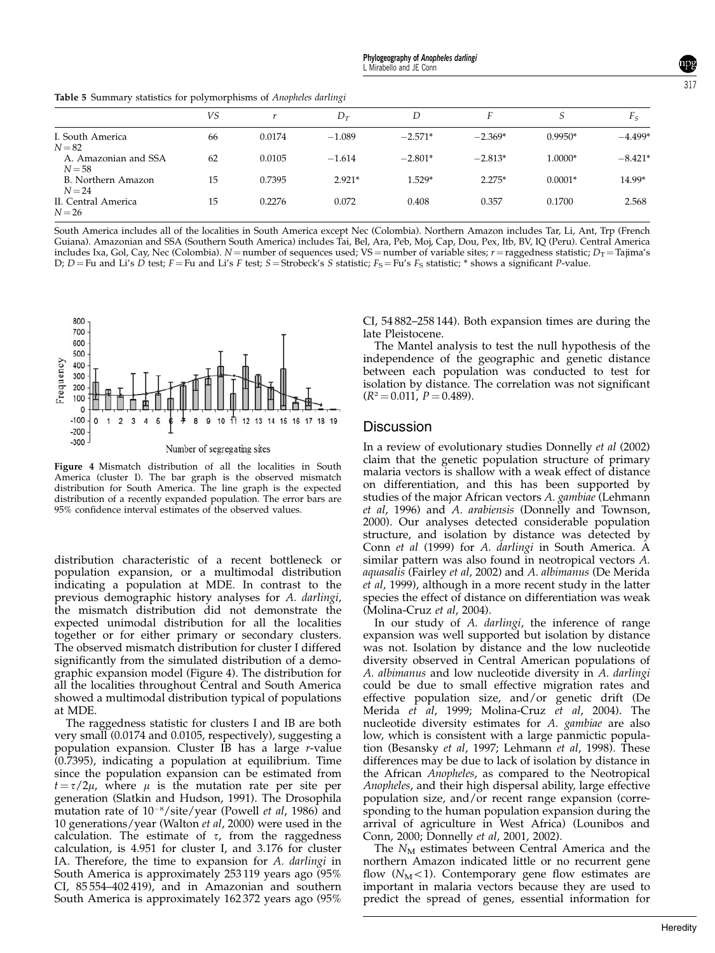Table 5 Summary statistics for polymorphisms of Anopheles darlingi

|                                  | VS |        | $D_T$    | D         |           | S         | $F_S$     |
|----------------------------------|----|--------|----------|-----------|-----------|-----------|-----------|
| I. South America<br>$N = 82$     | 66 | 0.0174 | $-1.089$ | $-2.571*$ | $-2.369*$ | $0.9950*$ | $-4.499*$ |
| A. Amazonian and SSA<br>$N = 58$ | 62 | 0.0105 | $-1.614$ | $-2.801*$ | $-2.813*$ | 1.0000*   | $-8.421*$ |
| B. Northern Amazon<br>$N=24$     | 15 | 0.7395 | $2.921*$ | $1.529*$  | $2.275*$  | $0.0001*$ | 14.99*    |
| II. Central America<br>$N = 26$  | 15 | 0.2276 | 0.072    | 0.408     | 0.357     | 0.1700    | 2.568     |

South America includes all of the localities in South America except Nec (Colombia). Northern Amazon includes Tar, Li, Ant, Trp (French Guiana). Amazonian and SSA (Southern South America) includes Tai, Bel, Ara, Peb, Moj, Cap, Dou, Pex, Itb, BV, IQ (Peru). Central America includes Ixa, Gol, Cay, Nec (Colombia). N = number of sequences used; VS = number of variable sites;  $r =$  raggedness statistic;  $D_T =$  Tajima's D;  $D = Fu$  and Li's  $\overrightarrow{D}$  test;  $F = Fu$  and Li's F test;  $S = Strobeck's S$  statistic;  $F_S = Fu's F_S$  statistic; \* shows a significant P-value.



Figure 4 Mismatch distribution of all the localities in South America (cluster I). The bar graph is the observed mismatch distribution for South America. The line graph is the expected distribution of a recently expanded population. The error bars are 95% confidence interval estimates of the observed values.

distribution characteristic of a recent bottleneck or population expansion, or a multimodal distribution indicating a population at MDE. In contrast to the previous demographic history analyses for A. darlingi, the mismatch distribution did not demonstrate the expected unimodal distribution for all the localities together or for either primary or secondary clusters. The observed mismatch distribution for cluster I differed significantly from the simulated distribution of a demographic expansion model (Figure 4). The distribution for all the localities throughout Central and South America showed a multimodal distribution typical of populations at MDE.

The raggedness statistic for clusters I and IB are both very small (0.0174 and 0.0105, respectively), suggesting a population expansion. Cluster IB has a large r-value (0.7395), indicating a population at equilibrium. Time since the population expansion can be estimated from  $t = \tau/2\mu$ , where  $\mu$  is the mutation rate per site per generation (Slatkin and Hudson, 1991). The Drosophila mutation rate of  $10^{-8}/\text{site}/\text{year}$  (Powell *et al*, 1986) and 10 generations/year (Walton et al, 2000) were used in the calculation. The estimate of  $\tau$ , from the raggedness calculation, is 4.951 for cluster I, and 3.176 for cluster IA. Therefore, the time to expansion for A. darlingi in South America is approximately 253 119 years ago (95% CI, 85 554–402 419), and in Amazonian and southern South America is approximately 162 372 years ago (95% CI, 54 882–258 144). Both expansion times are during the late Pleistocene.

The Mantel analysis to test the null hypothesis of the independence of the geographic and genetic distance between each population was conducted to test for isolation by distance. The correlation was not significant  $(R^2 = 0.011, P = 0.489).$ 

## **Discussion**

In a review of evolutionary studies Donnelly et al (2002) claim that the genetic population structure of primary malaria vectors is shallow with a weak effect of distance on differentiation, and this has been supported by studies of the major African vectors A. gambiae (Lehmann et al, 1996) and A. arabiensis (Donnelly and Townson, 2000). Our analyses detected considerable population structure, and isolation by distance was detected by Conn et al (1999) for A. darlingi in South America. A similar pattern was also found in neotropical vectors A. aquasalis (Fairley et al, 2002) and A. albimanus (De Merida et al, 1999), although in a more recent study in the latter species the effect of distance on differentiation was weak (Molina-Cruz et al, 2004).

In our study of A. darlingi, the inference of range expansion was well supported but isolation by distance was not. Isolation by distance and the low nucleotide diversity observed in Central American populations of A. albimanus and low nucleotide diversity in A. darlingi could be due to small effective migration rates and effective population size, and/or genetic drift (De Merida et al, 1999; Molina-Cruz et al, 2004). The nucleotide diversity estimates for A. gambiae are also low, which is consistent with a large panmictic population (Besansky et al, 1997; Lehmann et al, 1998). These differences may be due to lack of isolation by distance in the African Anopheles, as compared to the Neotropical Anopheles, and their high dispersal ability, large effective population size, and/or recent range expansion (corresponding to the human population expansion during the arrival of agriculture in West Africa) (Lounibos and Conn, 2000; Donnelly et al, 2001, 2002).

The  $N_M$  estimates between Central America and the northern Amazon indicated little or no recurrent gene flow  $(N_M<1)$ . Contemporary gene flow estimates are important in malaria vectors because they are used to predict the spread of genes, essential information for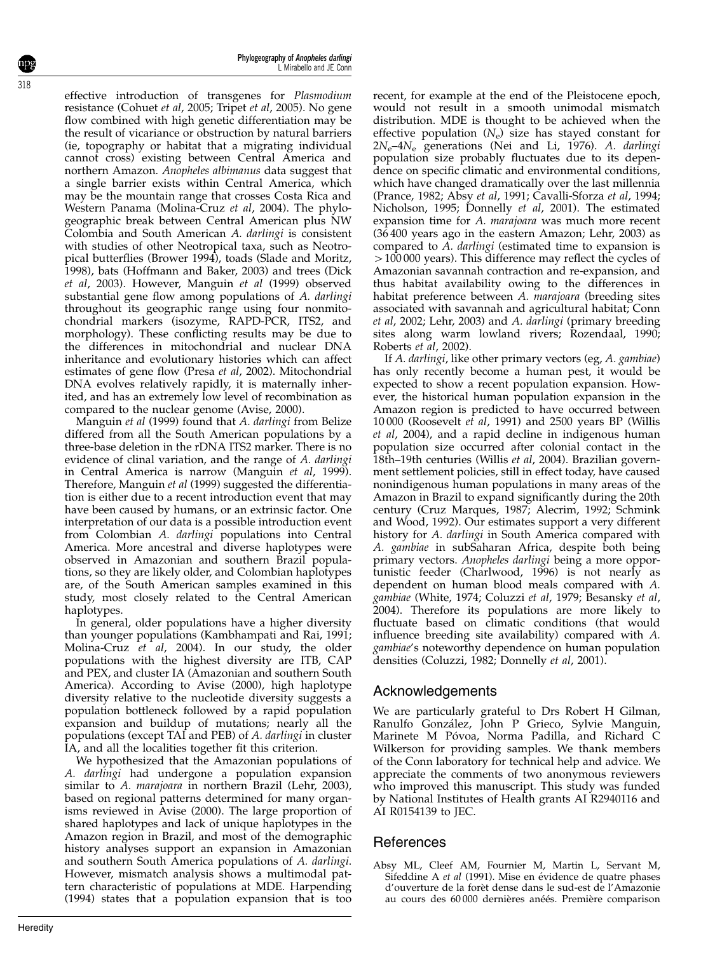effective introduction of transgenes for Plasmodium resistance (Cohuet et al, 2005; Tripet et al, 2005). No gene flow combined with high genetic differentiation may be the result of vicariance or obstruction by natural barriers (ie, topography or habitat that a migrating individual cannot cross) existing between Central America and northern Amazon. Anopheles albimanus data suggest that a single barrier exists within Central America, which may be the mountain range that crosses Costa Rica and Western Panama (Molina-Cruz et al, 2004). The phylogeographic break between Central American plus NW Colombia and South American A. darlingi is consistent with studies of other Neotropical taxa, such as Neotropical butterflies (Brower 1994), toads (Slade and Moritz, 1998), bats (Hoffmann and Baker, 2003) and trees (Dick et al, 2003). However, Manguin et al (1999) observed substantial gene flow among populations of A. darlingi throughout its geographic range using four nonmitochondrial markers (isozyme, RAPD-PCR, ITS2, and morphology). These conflicting results may be due to the differences in mitochondrial and nuclear DNA inheritance and evolutionary histories which can affect estimates of gene flow (Presa et al, 2002). Mitochondrial DNA evolves relatively rapidly, it is maternally inherited, and has an extremely low level of recombination as compared to the nuclear genome (Avise, 2000).

Manguin et al (1999) found that A. darlingi from Belize differed from all the South American populations by a three-base deletion in the rDNA ITS2 marker. There is no evidence of clinal variation, and the range of A. darlingi in Central America is narrow (Manguin et al, 1999). Therefore, Manguin et al (1999) suggested the differentiation is either due to a recent introduction event that may have been caused by humans, or an extrinsic factor. One interpretation of our data is a possible introduction event from Colombian A. darlingi populations into Central America. More ancestral and diverse haplotypes were observed in Amazonian and southern Brazil populations, so they are likely older, and Colombian haplotypes are, of the South American samples examined in this study, most closely related to the Central American haplotypes.

In general, older populations have a higher diversity than younger populations (Kambhampati and Rai, 1991; Molina-Cruz et al, 2004). In our study, the older populations with the highest diversity are ITB, CAP and PEX, and cluster IA (Amazonian and southern South America). According to Avise (2000), high haplotype diversity relative to the nucleotide diversity suggests a population bottleneck followed by a rapid population expansion and buildup of mutations; nearly all the populations (except TAI and PEB) of A. darlingi in cluster IA, and all the localities together fit this criterion.

We hypothesized that the Amazonian populations of A. darlingi had undergone a population expansion similar to A. marajoara in northern Brazil (Lehr, 2003), based on regional patterns determined for many organisms reviewed in Avise (2000). The large proportion of shared haplotypes and lack of unique haplotypes in the Amazon region in Brazil, and most of the demographic history analyses support an expansion in Amazonian and southern South America populations of A. darlingi. However, mismatch analysis shows a multimodal pattern characteristic of populations at MDE. Harpending (1994) states that a population expansion that is too

recent, for example at the end of the Pleistocene epoch, would not result in a smooth unimodal mismatch distribution. MDE is thought to be achieved when the effective population  $(N_e)$  size has stayed constant for 2Ne–4N<sup>e</sup> generations (Nei and Li, 1976). A. darlingi population size probably fluctuates due to its dependence on specific climatic and environmental conditions, which have changed dramatically over the last millennia (Prance, 1982; Absy et al, 1991; Cavalli-Sforza et al, 1994; Nicholson, 1995; Donnelly et al, 2001). The estimated expansion time for A. marajoara was much more recent (36 400 years ago in the eastern Amazon; Lehr, 2003) as compared to A. darlingi (estimated time to expansion is  $>100 000$  years). This difference may reflect the cycles of Amazonian savannah contraction and re-expansion, and thus habitat availability owing to the differences in habitat preference between A. marajoara (breeding sites associated with savannah and agricultural habitat; Conn et al, 2002; Lehr, 2003) and A. darlingi (primary breeding sites along warm lowland rivers; Rozendaal, 1990; Roberts et al, 2002).

If A. darlingi, like other primary vectors (eg, A. gambiae) has only recently become a human pest, it would be expected to show a recent population expansion. However, the historical human population expansion in the Amazon region is predicted to have occurred between 10 000 (Roosevelt et al, 1991) and 2500 years BP (Willis et al, 2004), and a rapid decline in indigenous human population size occurred after colonial contact in the 18th–19th centuries (Willis et al, 2004). Brazilian government settlement policies, still in effect today, have caused nonindigenous human populations in many areas of the Amazon in Brazil to expand significantly during the 20th century (Cruz Marques, 1987; Alecrim, 1992; Schmink and Wood, 1992). Our estimates support a very different history for A. darlingi in South America compared with A. gambiae in subSaharan Africa, despite both being primary vectors. Anopheles darlingi being a more opportunistic feeder (Charlwood, 1996) is not nearly as dependent on human blood meals compared with A. gambiae (White, 1974; Coluzzi et al, 1979; Besansky et al, 2004). Therefore its populations are more likely to fluctuate based on climatic conditions (that would influence breeding site availability) compared with A. gambiae's noteworthy dependence on human population densities (Coluzzi, 1982; Donnelly et al, 2001).

# Acknowledgements

We are particularly grateful to Drs Robert H Gilman, Ranulfo Gonza´lez, John P Grieco, Sylvie Manguin, Marinete M Póvoa, Norma Padilla, and Richard C Wilkerson for providing samples. We thank members of the Conn laboratory for technical help and advice. We appreciate the comments of two anonymous reviewers who improved this manuscript. This study was funded by National Institutes of Health grants AI R2940116 and AI R0154139 to JEC.

# References

Absy ML, Cleef AM, Fournier M, Martin L, Servant M, Sifeddine A et al (1991). Mise en évidence de quatre phases d'ouverture de la forèt dense dans le sud-est de l'Amazonie au cours des 60 000 dernières anéés. Première comparison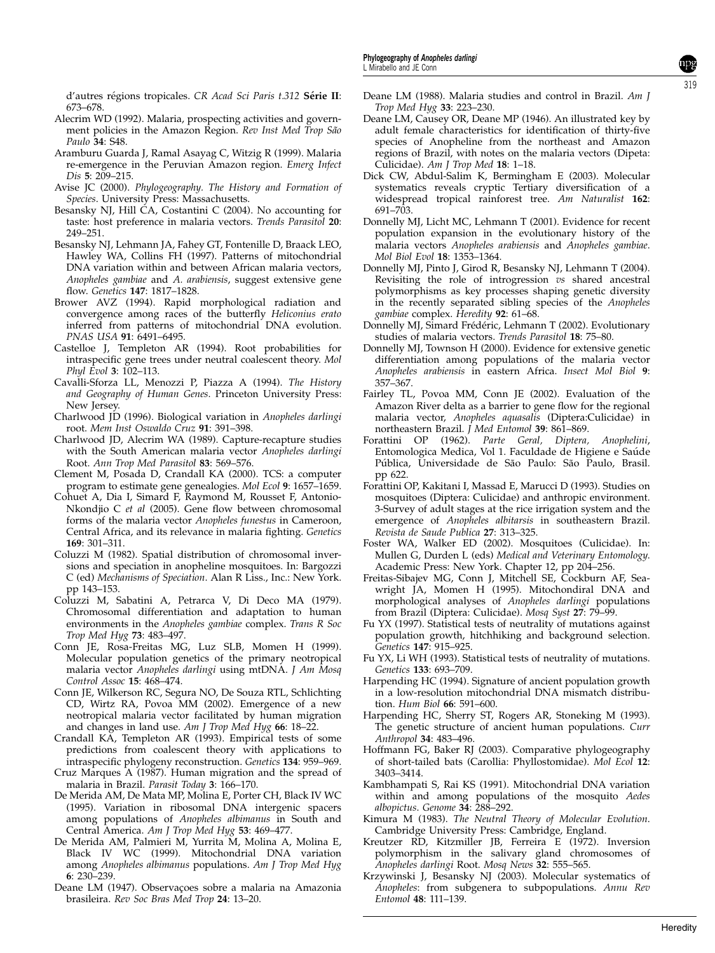d'autres régions tropicales. CR Acad Sci Paris t.312 Série II: 673–678.

- Alecrim WD (1992). Malaria, prospecting activities and government policies in the Amazon Region. Rev Inst Med Trop São Paulo 34: S48.
- Aramburu Guarda J, Ramal Asayag C, Witzig R (1999). Malaria re-emergence in the Peruvian Amazon region. Emerg Infect Dis 5: 209–215.
- Avise JC (2000). Phylogeography. The History and Formation of Species. University Press: Massachusetts.
- Besansky NJ, Hill CA, Costantini C (2004). No accounting for taste: host preference in malaria vectors. Trends Parasitol 20: 249–251.
- Besansky NJ, Lehmann JA, Fahey GT, Fontenille D, Braack LEO, Hawley WA, Collins FH (1997). Patterns of mitochondrial DNA variation within and between African malaria vectors, Anopheles gambiae and A. arabiensis, suggest extensive gene flow. Genetics 147: 1817–1828.
- Brower AVZ (1994). Rapid morphological radiation and convergence among races of the butterfly Heliconius erato inferred from patterns of mitochondrial DNA evolution. PNAS USA 91: 6491–6495.
- Castelloe J, Templeton AR (1994). Root probabilities for intraspecific gene trees under neutral coalescent theory. Mol Phyl Evol 3: 102–113.
- Cavalli-Sforza LL, Menozzi P, Piazza A (1994). The History and Geography of Human Genes. Princeton University Press: New Jersey.
- Charlwood JD (1996). Biological variation in Anopheles darlingi root. Mem Inst Oswaldo Cruz 91: 391–398.
- Charlwood JD, Alecrim WA (1989). Capture-recapture studies with the South American malaria vector *Anopheles darlingi* Root. Ann Trop Med Parasitol 83: 569–576.
- Clement M, Posada D, Crandall KA (2000). TCS: a computer program to estimate gene genealogies. Mol Ecol 9: 1657–1659.
- Cohuet A, Dia I, Simard F, Raymond M, Rousset F, Antonio-Nkondjio C et al (2005). Gene flow between chromosomal forms of the malaria vector Anopheles funestus in Cameroon, Central Africa, and its relevance in malaria fighting. Genetics 169: 301–311.
- Coluzzi M (1982). Spatial distribution of chromosomal inversions and speciation in anopheline mosquitoes. In: Bargozzi C (ed) Mechanisms of Speciation. Alan R Liss., Inc.: New York. pp 143–153.
- Coluzzi M, Sabatini A, Petrarca V, Di Deco MA (1979). Chromosomal differentiation and adaptation to human environments in the Anopheles gambiae complex. Trans R Soc Trop Med Hyg 73: 483–497.
- Conn JE, Rosa-Freitas MG, Luz SLB, Momen H (1999). Molecular population genetics of the primary neotropical malaria vector Anopheles darlingi using mtDNA. J Am Mosq Control Assoc 15: 468–474.
- Conn JE, Wilkerson RC, Segura NO, De Souza RTL, Schlichting CD, Wirtz RA, Povoa MM (2002). Emergence of a new neotropical malaria vector facilitated by human migration and changes in land use. Am J Trop Med Hyg  $66: 18-22$ .
- Crandall KA, Templeton AR (1993). Empirical tests of some predictions from coalescent theory with applications to intraspecific phylogeny reconstruction. Genetics 134: 959-969.
- Cruz Marques A (1987). Human migration and the spread of malaria in Brazil. Parasit Today 3: 166–170.
- De Merida AM, De Mata MP, Molina E, Porter CH, Black IV WC (1995). Variation in ribosomal DNA intergenic spacers among populations of Anopheles albimanus in South and Central America. Am J Trop Med Hyg 53: 469–477.
- De Merida AM, Palmieri M, Yurrita M, Molina A, Molina E, Black IV WC (1999). Mitochondrial DNA variation among Anopheles albimanus populations. Am J Trop Med Hyg 6: 230–239.
- Deane LM (1947). Observações sobre a malaria na Amazonia brasileira. Rev Soc Bras Med Trop 24: 13–20.
- Deane LM (1988). Malaria studies and control in Brazil. Am J Trop Med Hyg 33: 223–230.
- Deane LM, Causey OR, Deane MP (1946). An illustrated key by adult female characteristics for identification of thirty-five species of Anopheline from the northeast and Amazon regions of Brazil, with notes on the malaria vectors (Dipeta: Culicidae). Am J Trop Med 18: 1–18.
- Dick CW, Abdul-Salim K, Bermingham E (2003). Molecular systematics reveals cryptic Tertiary diversification of a widespread tropical rainforest tree. Am Naturalist 162: 691–703.
- Donnelly MJ, Licht MC, Lehmann T (2001). Evidence for recent population expansion in the evolutionary history of the malaria vectors Anopheles arabiensis and Anopheles gambiae. Mol Biol Evol 18: 1353–1364.
- Donnelly MJ, Pinto J, Girod R, Besansky NJ, Lehmann T (2004). Revisiting the role of introgression vs shared ancestral polymorphisms as key processes shaping genetic diversity in the recently separated sibling species of the Anopheles gambiae complex. Heredity 92: 61–68.
- Donnelly MJ, Simard Frédéric, Lehmann T (2002). Evolutionary studies of malaria vectors. Trends Parasitol 18: 75–80.
- Donnelly MJ, Townson H (2000). Evidence for extensive genetic differentiation among populations of the malaria vector Anopheles arabiensis in eastern Africa. Insect Mol Biol 9: 357–367.
- Fairley TL, Povoa MM, Conn JE (2002). Evaluation of the Amazon River delta as a barrier to gene flow for the regional malaria vector, Anopheles aquasalis (Diptera:Culicidae) in northeastern Brazil. *I Med Entomol* 39: 861–869.
- Forattini OP (1962). Parte Geral, Diptera, Anophelini, Entomologica Medica, Vol 1. Faculdade de Higiene e Saúde Pública, Universidade de São Paulo: São Paulo, Brasil. pp 622.
- Forattini OP, Kakitani I, Massad E, Marucci D (1993). Studies on mosquitoes (Diptera: Culicidae) and anthropic environment. 3-Survey of adult stages at the rice irrigation system and the emergence of Anopheles albitarsis in southeastern Brazil. Revista de Saude Publica 27: 313–325.
- Foster WA, Walker ED (2002). Mosquitoes (Culicidae). In: Mullen G, Durden L (eds) Medical and Veterinary Entomology. Academic Press: New York. Chapter 12, pp 204–256.
- Freitas-Sibajev MG, Conn J, Mitchell SE, Cockburn AF, Seawright JA, Momen H (1995). Mitochondiral DNA and morphological analyses of Anopheles darlingi populations from Brazil (Diptera: Culicidae). Mosq Syst 27: 79-99.
- Fu YX (1997). Statistical tests of neutrality of mutations against population growth, hitchhiking and background selection. Genetics 147: 915–925.
- Fu YX, Li WH (1993). Statistical tests of neutrality of mutations. Genetics 133: 693–709.
- Harpending HC (1994). Signature of ancient population growth in a low-resolution mitochondrial DNA mismatch distribution. Hum Biol 66: 591–600.
- Harpending HC, Sherry ST, Rogers AR, Stoneking M (1993). The genetic structure of ancient human populations. Curr Anthropol 34: 483–496.
- Hoffmann FG, Baker RJ (2003). Comparative phylogeography of short-tailed bats (Carollia: Phyllostomidae). Mol Ecol 12: 3403–3414.
- Kambhampati S, Rai KS (1991). Mitochondrial DNA variation within and among populations of the mosquito Aedes albopictus. Genome 34: 288–292.
- Kimura M (1983). The Neutral Theory of Molecular Evolution. Cambridge University Press: Cambridge, England.
- Kreutzer RD, Kitzmiller JB, Ferreira E (1972). Inversion polymorphism in the salivary gland chromosomes of Anopheles darlingi Root. Mosq News 32: 555–565.
- Krzywinski J, Besansky NJ (2003). Molecular systematics of Anopheles: from subgenera to subpopulations. Annu Rev Entomol 48: 111–139.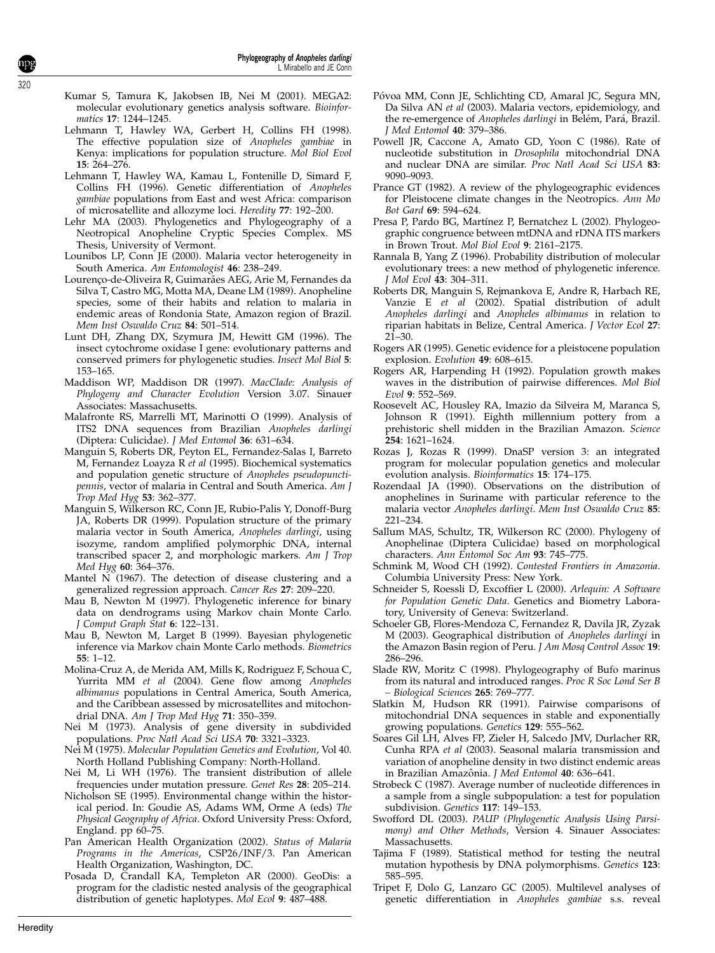- Kumar S, Tamura K, Jakobsen IB, Nei M (2001). MEGA2: molecular evolutionary genetics analysis software. Bioinformatics 17: 1244–1245.
- Lehmann T, Hawley WA, Gerbert H, Collins FH (1998). The effective population size of Anopheles gambiae in Kenya: implications for population structure. Mol Biol Evol 15: 264–276.
- Lehmann T, Hawley WA, Kamau L, Fontenille D, Simard F, Collins FH (1996). Genetic differentiation of Anopheles gambiae populations from East and west Africa: comparison of microsatellite and allozyme loci. Heredity 77: 192–200.
- Lehr MA (2003). Phylogenetics and Phylogeography of a Neotropical Anopheline Cryptic Species Complex. MS Thesis, University of Vermont.
- Lounibos LP, Conn JE (2000). Malaria vector heterogeneity in South America. Am Entomologist 46: 238–249.
- Lourenco-de-Oliveira R, Guimarães AEG, Arie M, Fernandes da Silva T, Castro MG, Motta MA, Deane LM (1989). Anopheline species, some of their habits and relation to malaria in endemic areas of Rondonia State, Amazon region of Brazil. Mem Inst Oswaldo Cruz 84: 501–514.
- Lunt DH, Zhang DX, Szymura JM, Hewitt GM (1996). The insect cytochrome oxidase I gene: evolutionary patterns and conserved primers for phylogenetic studies. Insect Mol Biol 5: 153–165.
- Maddison WP, Maddison DR (1997). MacClade: Analysis of Phylogeny and Character Evolution Version 3.07. Sinauer Associates: Massachusetts.
- Malafronte RS, Marrelli MT, Marinotti O (1999). Analysis of ITS2 DNA sequences from Brazilian Anopheles darlingi (Diptera: Culicidae). J Med Entomol 36: 631–634.
- Manguin S, Roberts DR, Peyton EL, Fernandez-Salas I, Barreto M, Fernandez Loayza R et al (1995). Biochemical systematics and population genetic structure of Anopheles pseudopunctipennis, vector of malaria in Central and South America. Am J Trop Med Hyg 53: 362–377.
- Manguin S, Wilkerson RC, Conn JE, Rubio-Palis Y, Donoff-Burg JA, Roberts DR (1999). Population structure of the primary malaria vector in South America, Anopheles darlingi, using isozyme, random amplified polymorphic DNA, internal transcribed spacer 2, and morphologic markers. Am J Trop Med Hyg 60: 364–376.
- Mantel  $\tilde{N}(1967)$ . The detection of disease clustering and a generalized regression approach. Cancer Res 27: 209–220.
- Mau B, Newton M (1997). Phylogenetic inference for binary data on dendrograms using Markov chain Monte Carlo. J Comput Graph Stat 6: 122–131.
- Mau B, Newton M, Larget B (1999). Bayesian phylogenetic inference via Markov chain Monte Carlo methods. Biometrics 55: 1–12.
- Molina-Cruz A, de Merida AM, Mills K, Rodriguez F, Schoua C, Yurrita MM et al (2004). Gene flow among Anopheles albimanus populations in Central America, South America, and the Caribbean assessed by microsatellites and mitochondrial DNA. Am J Trop Med Hyg 71: 350-359.
- Nei M (1973). Analysis of gene diversity in subdivided populations. Proc Natl Acad Sci USA 70: 3321–3323.
- Nei M (1975). Molecular Population Genetics and Evolution, Vol 40. North Holland Publishing Company: North-Holland.
- Nei M, Li WH (1976). The transient distribution of allele frequencies under mutation pressure. Genet Res 28: 205–214.
- Nicholson SE (1995). Environmental change within the historical period. In: Goudie AS, Adams WM, Orme A (eds) The Physical Geography of Africa. Oxford University Press: Oxford, England. pp 60–75.
- Pan American Health Organization (2002). Status of Malaria Programs in the Americas, CSP26/INF/3. Pan American Health Organization, Washington, DC.
- Posada D, Crandall KA, Templeton AR (2000). GeoDis: a program for the cladistic nested analysis of the geographical distribution of genetic haplotypes. Mol Ecol 9: 487-488.
- Póvoa MM, Conn JE, Schlichting CD, Amaral JC, Segura MN, Da Silva AN et al (2003). Malaria vectors, epidemiology, and the re-emergence of Anopheles darlingi in Belém, Pará, Brazil. J Med Entomol 40: 379–386.
- Powell JR, Caccone A, Amato GD, Yoon C (1986). Rate of nucleotide substitution in Drosophila mitochondrial DNA and nuclear DNA are similar. Proc Natl Acad Sci USA 83: 9090–9093.
- Prance GT (1982). A review of the phylogeographic evidences for Pleistocene climate changes in the Neotropics. Ann Mo Bot Gard 69: 594–624.
- Presa P, Pardo BG, Martínez P, Bernatchez L (2002). Phylogeographic congruence between mtDNA and rDNA ITS markers in Brown Trout. Mol Biol Evol 9: 2161–2175.
- Rannala B, Yang Z (1996). Probability distribution of molecular evolutionary trees: a new method of phylogenetic inference. J Mol Evol 43: 304–311.
- Roberts DR, Manguin S, Rejmankova E, Andre R, Harbach RE, Vanzie E et al (2002). Spatial distribution of adult Anopheles darlingi and Anopheles albimanus in relation to riparian habitats in Belize, Central America. J Vector Ecol 27:  $21 - 30.$
- Rogers AR (1995). Genetic evidence for a pleistocene population explosion. Evolution 49: 608–615
- Rogers AR, Harpending H (1992). Population growth makes waves in the distribution of pairwise differences. Mol Biol Evol 9: 552–569.
- Roosevelt AC, Housley RA, Imazio da Silveira M, Maranca S, Johnson R (1991). Eighth millennium pottery from a prehistoric shell midden in the Brazilian Amazon. Science 254: 1621–1624.
- Rozas J, Rozas R (1999). DnaSP version 3: an integrated program for molecular population genetics and molecular evolution analysis. Bioinformatics 15: 174–175.
- Rozendaal JA (1990). Observations on the distribution of anophelines in Suriname with particular reference to the malaria vector Anopheles darlingi. Mem Inst Oswaldo Cruz 85: 221–234.
- Sallum MAS, Schultz, TR, Wilkerson RC (2000). Phylogeny of Anophelinae (Diptera Culicidae) based on morphological characters. Ann Entomol Soc Am 93: 745–775.
- Schmink M, Wood CH (1992). Contested Frontiers in Amazonia. Columbia University Press: New York.
- Schneider S, Roessli D, Excoffier L (2000). Arlequin: A Software for Population Genetic Data. Genetics and Biometry Laboratory, University of Geneva: Switzerland.
- Schoeler GB, Flores-Mendoza C, Fernandez R, Davila JR, Zyzak M (2003). Geographical distribution of Anopheles darlingi in the Amazon Basin region of Peru. J Am Mosq Control Assoc 19: 286–296.
- Slade RW, Moritz C (1998). Phylogeography of Bufo marinus from its natural and introduced ranges. Proc R Soc Lond Ser B – Biological Sciences 265: 769–777.
- Slatkin M, Hudson RR (1991). Pairwise comparisons of mitochondrial DNA sequences in stable and exponentially growing populations. Genetics 129: 555–562.
- Soares Gil LH, Alves FP, Zieler H, Salcedo JMV, Durlacher RR, Cunha RPA et al (2003). Seasonal malaria transmission and variation of anopheline density in two distinct endemic areas in Brazilian Amazônia. J Med Entomol 40: 636-641.
- Strobeck C (1987). Average number of nucleotide differences in a sample from a single subpopulation: a test for population subdivision. Genetics 117: 149–153.
- Swofford DL (2003). PAUP (Phylogenetic Analysis Using Parsimony) and Other Methods, Version 4. Sinauer Associates: Massachusetts.
- Tajima F (1989). Statistical method for testing the neutral mutation hypothesis by DNA polymorphisms. Genetics 123: 585–595.
- Tripet F, Dolo G, Lanzaro GC (2005). Multilevel analyses of genetic differentiation in Anopheles gambiae s.s. reveal

320